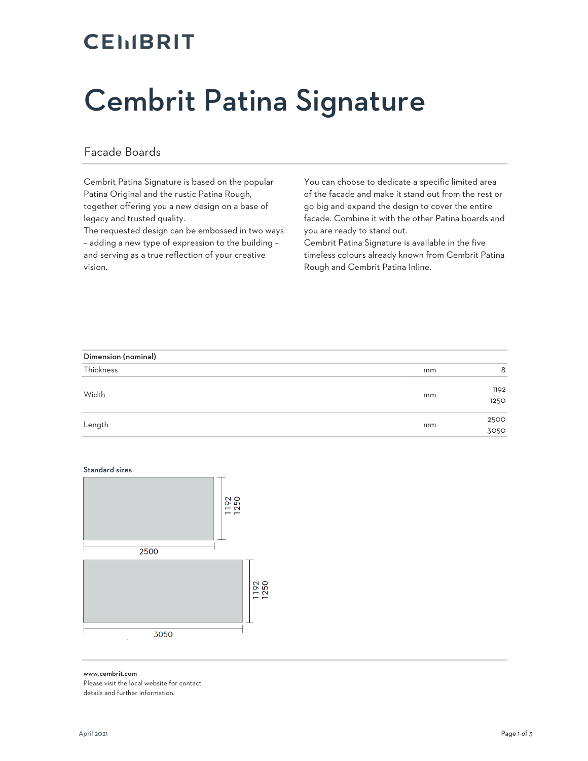## **CEMBRIT**

# Cembrit Patina Signature

#### Facade Boards

Cembrit Patina Signature is based on the popular Patina Original and the rustic Patina Rough, together offering you a new design on a base of legacy and trusted quality.

The requested design can be embossed in two ways – adding a new type of expression to the building – and serving as a true reflection of your creative vision.

You can choose to dedicate a specific limited area of the facade and make it stand out from the rest or go big and expand the design to cover the entire facade. Combine it with the other Patina boards and you are ready to stand out.

Cembrit Patina Signature is available in the five timeless colours already known from Cembrit Patina Rough and Cembrit Patina Inline.

| Dimension (nominal) |    |              |  |  |
|---------------------|----|--------------|--|--|
| Thickness           | mm | 8            |  |  |
| Width               | mm | 1192<br>1250 |  |  |
| Length              | mm | 2500<br>3050 |  |  |

#### Standard sizes



#### www.cembrit.com

Please visit the local website for contact details and further information.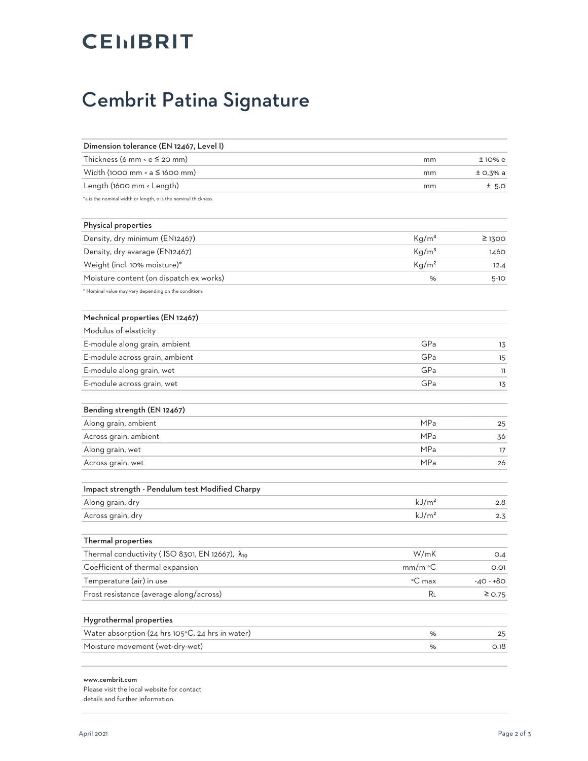## **CEIIBRIT**

### Cembrit Patina Signature

| Dimension tolerance (EN 12467, Level I)                       |                   |             |
|---------------------------------------------------------------|-------------------|-------------|
| Thickness (6 mm < $e \leq 20$ mm)                             | mm                | ±10%e       |
| Width (1000 mm $\le a \le 1600$ mm)                           | mm                | $±$ O,3% a  |
| Length (1600 mm < Length)                                     | mm                | ± 5.0       |
| *a is the nominal width or length, e is the nominal thickness |                   |             |
| Physical properties                                           |                   |             |
| Density, dry minimum (EN12467)                                | Kg/m <sup>3</sup> | $\geq$ 1300 |
| Density, dry avarage (EN12467)                                | Kg/m <sup>3</sup> | 1460        |
| Weight (incl. 10% moisture)*                                  | Kg/m <sup>2</sup> | 12.4        |
| Moisture content (on dispatch ex works)                       | %                 | $5-10$      |
| * Nominal value may vary depending on the conditions          |                   |             |
| Mechnical properties (EN 12467)                               |                   |             |
| Modulus of elasticity                                         |                   |             |
| E-module along grain, ambient                                 | GPa               | 13          |
| E-module across grain, ambient                                | GPa               | 15          |
| E-module along grain, wet                                     | GPa               | 11          |
| E-module across grain, wet                                    | GPa               | 13          |
| Bending strength (EN 12467)                                   |                   |             |
| Along grain, ambient                                          | MP <sub>a</sub>   | 25          |
| Across grain, ambient                                         | <b>MPa</b>        | 36          |
| Along grain, wet                                              | <b>MPa</b>        | 17          |
| Across grain, wet                                             | <b>MPa</b>        | 26          |
| Impact strength - Pendulum test Modified Charpy               |                   |             |
| Along grain, dry                                              | kJ/m <sup>2</sup> | 2.8         |
| Across grain, dry                                             | kJ/m <sup>2</sup> | 2.3         |
| Thermal properties                                            |                   |             |
| Thermal conductivity (ISO 8301, EN 12667), $\lambda_{10}$     | W/mK              | O.4         |
| Coefficient of thermal expansion                              | $mm/m$ °C         | 0.01        |
| Temperature (air) in use                                      | °C max            | $-40 - +80$ |
| Frost resistance (average along/across)                       | RL                | $\geq$ 0.75 |
| Hygrothermal properties                                       |                   |             |
| Water absorption (24 hrs 105°C, 24 hrs in water)              | %                 | 25          |
| Moisture movement (wet-dry-wet)                               | %                 | O.18        |

#### www.cembrit.com

Please visit the local website for contact details and further information.